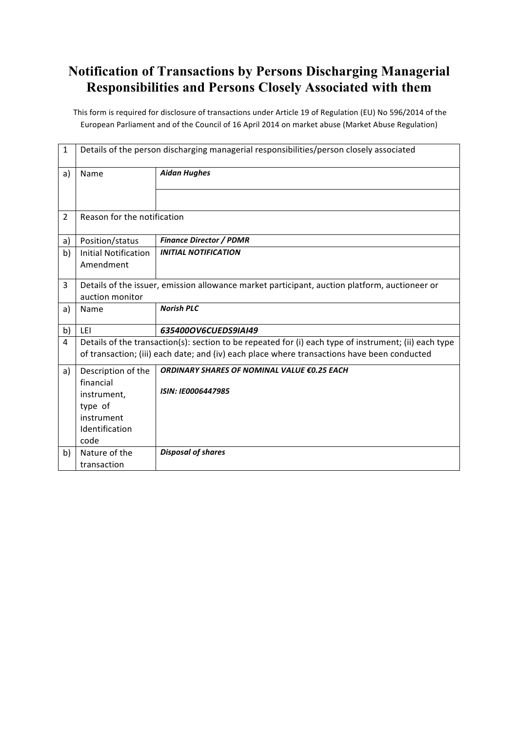## **Notification of Transactions by Persons Discharging Managerial Responsibilities and Persons Closely Associated with them**

This form is required for disclosure of transactions under Article 19 of Regulation (EU) No 596/2014 of the European Parliament and of the Council of 16 April 2014 on market abuse (Market Abuse Regulation)

| $\mathbf{1}$   | Details of the person discharging managerial responsibilities/person closely associated                                                                                                              |                                                                                               |  |  |
|----------------|------------------------------------------------------------------------------------------------------------------------------------------------------------------------------------------------------|-----------------------------------------------------------------------------------------------|--|--|
| a)             | Name                                                                                                                                                                                                 | <b>Aidan Hughes</b>                                                                           |  |  |
|                |                                                                                                                                                                                                      |                                                                                               |  |  |
|                |                                                                                                                                                                                                      |                                                                                               |  |  |
| $\overline{2}$ | Reason for the notification                                                                                                                                                                          |                                                                                               |  |  |
| a)             | Position/status                                                                                                                                                                                      | <b>Finance Director / PDMR</b>                                                                |  |  |
| b)             | <b>Initial Notification</b>                                                                                                                                                                          | <b>INITIAL NOTIFICATION</b>                                                                   |  |  |
|                | Amendment                                                                                                                                                                                            |                                                                                               |  |  |
| 3              |                                                                                                                                                                                                      | Details of the issuer, emission allowance market participant, auction platform, auctioneer or |  |  |
|                | auction monitor                                                                                                                                                                                      |                                                                                               |  |  |
| a)             | Name                                                                                                                                                                                                 | <b>Norish PLC</b>                                                                             |  |  |
| b)             | LFI                                                                                                                                                                                                  | 635400OV6CUEDS9IAI49                                                                          |  |  |
| 4              | Details of the transaction(s): section to be repeated for (i) each type of instrument; (ii) each type<br>of transaction; (iii) each date; and (iv) each place where transactions have been conducted |                                                                                               |  |  |
| a)             | Description of the                                                                                                                                                                                   | ORDINARY SHARES OF NOMINAL VALUE €0.25 EACH                                                   |  |  |
|                | financial                                                                                                                                                                                            |                                                                                               |  |  |
|                | instrument,                                                                                                                                                                                          | <b>ISIN: IE0006447985</b>                                                                     |  |  |
|                | type of                                                                                                                                                                                              |                                                                                               |  |  |
|                | instrument                                                                                                                                                                                           |                                                                                               |  |  |
|                | Identification                                                                                                                                                                                       |                                                                                               |  |  |
|                | code                                                                                                                                                                                                 |                                                                                               |  |  |
| b)             | Nature of the                                                                                                                                                                                        | <b>Disposal of shares</b>                                                                     |  |  |
|                | transaction                                                                                                                                                                                          |                                                                                               |  |  |